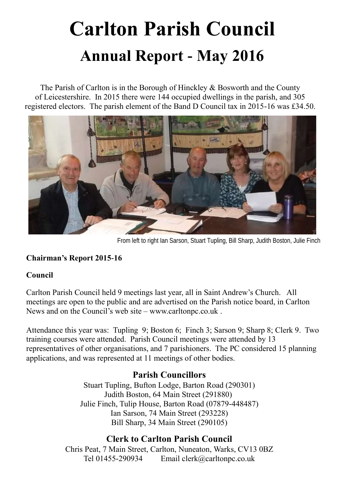# **Carlton Parish Council Annual Report - May 2016**

The Parish of Carlton is in the Borough of Hinckley & Bosworth and the County of Leicestershire. In 2015 there were 144 occupied dwellings in the parish, and 305 registered electors. The parish element of the Band D Council tax in 2015-16 was £34.50.



From left to right Ian Sarson, Stuart Tupling, Bill Sharp, Judith Boston, Julie Finch

#### **Chairman's Report 2015-16**

#### **Council**

Carlton Parish Council held 9 meetings last year, all in Saint Andrew's Church. All meetings are open to the public and are advertised on the Parish notice board, in Carlton News and on the Council's web site – [www.carltonpc.co.uk](http://www.carlton.co.uk/) .

Attendance this year was: Tupling 9; Boston 6; Finch 3; Sarson 9; Sharp 8; Clerk 9. Two training courses were attended. Parish Council meetings were attended by 13 representatives of other organisations, and 7 parishioners. The PC considered 15 planning applications, and was represented at 11 meetings of other bodies.

# **Parish Councillors**

Stuart Tupling, Bufton Lodge, Barton Road (290301) Judith Boston, 64 Main Street (291880) Julie Finch, Tulip House, Barton Road (07879-448487) Ian Sarson, 74 Main Street (293228) Bill Sharp, 34 Main Street (290105)

# **Clerk to Carlton Parish Council**

Chris Peat, 7 Main Street, Carlton, Nuneaton, Warks, CV13 0BZ Tel 01455-290934 Email clerk@carltonpc.co.uk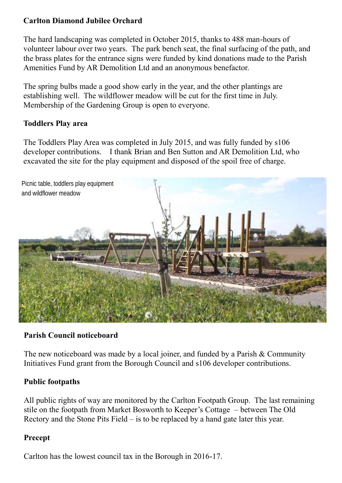### **Carlton Diamond Jubilee Orchard**

The hard landscaping was completed in October 2015, thanks to 488 man-hours of volunteer labour over two years. The park bench seat, the final surfacing of the path, and the brass plates for the entrance signs were funded by kind donations made to the Parish Amenities Fund by AR Demolition Ltd and an anonymous benefactor.

The spring bulbs made a good show early in the year, and the other plantings are establishing well. The wildflower meadow will be cut for the first time in July. Membership of the Gardening Group is open to everyone.

#### **Toddlers Play area**

The Toddlers Play Area was completed in July 2015, and was fully funded by s106 developer contributions. I thank Brian and Ben Sutton and AR Demolition Ltd, who excavated the site for the play equipment and disposed of the spoil free of charge.



#### **Parish Council noticeboard**

The new noticeboard was made by a local joiner, and funded by a Parish & Community Initiatives Fund grant from the Borough Council and s106 developer contributions.

#### **Public footpaths**

All public rights of way are monitored by the Carlton Footpath Group. The last remaining stile on the footpath from Market Bosworth to Keeper's Cottage – between The Old Rectory and the Stone Pits Field – is to be replaced by a hand gate later this year.

#### **Precept**

Carlton has the lowest council tax in the Borough in 2016-17.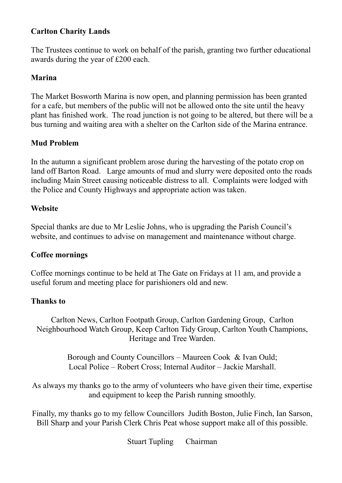#### **Carlton Charity Lands**

The Trustees continue to work on behalf of the parish, granting two further educational awards during the year of £200 each.

#### **Marina**

The Market Bosworth Marina is now open, and planning permission has been granted for a cafe, but members of the public will not be allowed onto the site until the heavy plant has finished work. The road junction is not going to be altered, but there will be a bus turning and waiting area with a shelter on the Carlton side of the Marina entrance.

#### **Mud Problem**

In the autumn a significant problem arose during the harvesting of the potato crop on land off Barton Road. Large amounts of mud and slurry were deposited onto the roads including Main Street causing noticeable distress to all. Complaints were lodged with the Police and County Highways and appropriate action was taken.

#### **Website**

Special thanks are due to Mr Leslie Johns, who is upgrading the Parish Council's website, and continues to advise on management and maintenance without charge.

#### **Coffee mornings**

Coffee mornings continue to be held at The Gate on Fridays at 11 am, and provide a useful forum and meeting place for parishioners old and new.

#### **Thanks to**

Carlton News, Carlton Footpath Group, Carlton Gardening Group, Carlton Neighbourhood Watch Group, Keep Carlton Tidy Group, Carlton Youth Champions, Heritage and Tree Warden.

> Borough and County Councillors – Maureen Cook & Ivan Ould; Local Police – Robert Cross; Internal Auditor – Jackie Marshall.

As always my thanks go to the army of volunteers who have given their time, expertise and equipment to keep the Parish running smoothly.

Finally, my thanks go to my fellow Councillors Judith Boston, Julie Finch, Ian Sarson, Bill Sharp and your Parish Clerk Chris Peat whose support make all of this possible.

Stuart Tupling Chairman